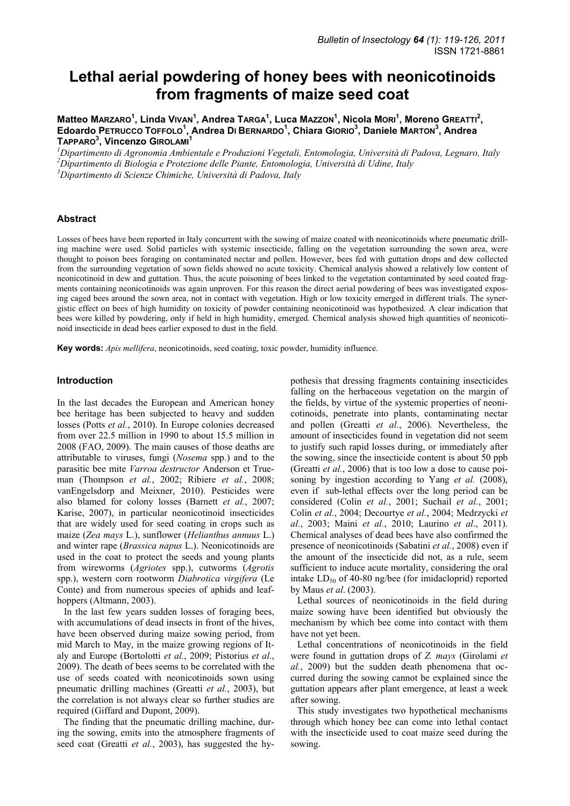# **Lethal aerial powdering of honey bees with neonicotinoids from fragments of maize seed coat**

 $M$ atteo Marzaro<sup>1</sup>, Linda Vıvan<sup>1</sup>, Andrea Tar<code>GA<sup>1</code>, Luca Mazzo<code>N<sup>1</code>, Nicola Morl<sup>1</sup>, Moreno Gr<code>EATTI<sup>2</code>,</code></sup></code></sup></code></sup> Edoardo PETRUCCO TOFFOLO<sup>1</sup>, Andrea DI BERNARDO<sup>1</sup>, Chiara GIORIO<sup>3</sup>, Daniele MARTON<sup>3</sup>, Andrea **TAPPARO3 , Vincenzo GIROLAMI<sup>1</sup>**

*1 Dipartimento di Agronomia Ambientale e Produzioni Vegetali, Entomologia, Università di Padova, Legnaro, Italy 2 Dipartimento di Biologia e Protezione delle Piante, Entomologia, Università di Udine, Italy 3 Dipartimento di Scienze Chimiche, Università di Padova, Italy* 

## **Abstract**

Losses of bees have been reported in Italy concurrent with the sowing of maize coated with neonicotinoids where pneumatic drilling machine were used. Solid particles with systemic insecticide, falling on the vegetation surrounding the sown area, were thought to poison bees foraging on contaminated nectar and pollen. However, bees fed with guttation drops and dew collected from the surrounding vegetation of sown fields showed no acute toxicity. Chemical analysis showed a relatively low content of neonicotinoid in dew and guttation. Thus, the acute poisoning of bees linked to the vegetation contaminated by seed coated fragments containing neonicotinoids was again unproven. For this reason the direct aerial powdering of bees was investigated exposing caged bees around the sown area, not in contact with vegetation. High or low toxicity emerged in different trials. The synergistic effect on bees of high humidity on toxicity of powder containing neonicotinoid was hypothesized. A clear indication that bees were killed by powdering, only if held in high humidity, emerged. Chemical analysis showed high quantities of neonicotinoid insecticide in dead bees earlier exposed to dust in the field.

**Key words:** *Apis mellifera*, neonicotinoids, seed coating, toxic powder, humidity influence.

#### **Introduction**

In the last decades the European and American honey bee heritage has been subjected to heavy and sudden losses (Potts *et al.*, 2010). In Europe colonies decreased from over 22.5 million in 1990 to about 15.5 million in 2008 (FAO, 2009). The main causes of those deaths are attributable to viruses, fungi (*Nosema* spp.) and to the parasitic bee mite *Varroa destructor* Anderson et Trueman (Thompson *et al.*, 2002; Ribiere *et al.*, 2008; vanEngelsdorp and Meixner, 2010). Pesticides were also blamed for colony losses (Barnett *et al.*, 2007; Karise, 2007), in particular neonicotinoid insecticides that are widely used for seed coating in crops such as maize (*Zea mays* L.), sunflower (*Helianthus annuus* L.) and winter rape (*Brassica napus* L.). Neonicotinoids are used in the coat to protect the seeds and young plants from wireworms (*Agriotes* spp.), cutworms (*Agrotis* spp.), western corn rootworm *Diabrotica virgifera* (Le Conte) and from numerous species of aphids and leafhoppers (Altmann, 2003).

In the last few years sudden losses of foraging bees, with accumulations of dead insects in front of the hives, have been observed during maize sowing period, from mid March to May, in the maize growing regions of Italy and Europe (Bortolotti *et al.*, 2009; Pistorius *et al.*, 2009). The death of bees seems to be correlated with the use of seeds coated with neonicotinoids sown using pneumatic drilling machines (Greatti *et al.*, 2003), but the correlation is not always clear so further studies are required (Giffard and Dupont, 2009).

The finding that the pneumatic drilling machine, during the sowing, emits into the atmosphere fragments of seed coat (Greatti *et al.*, 2003), has suggested the hy-

pothesis that dressing fragments containing insecticides falling on the herbaceous vegetation on the margin of the fields, by virtue of the systemic properties of neonicotinoids, penetrate into plants, contaminating nectar and pollen (Greatti *et al.*, 2006). Nevertheless, the amount of insecticides found in vegetation did not seem to justify such rapid losses during, or immediately after the sowing, since the insecticide content is about 50 ppb (Greatti *et al.*, 2006) that is too low a dose to cause poisoning by ingestion according to Yang *et al.* (2008), even if sub-lethal effects over the long period can be considered (Colin *et al.*, 2001; Suchail *et al.*, 2001; Colin *et al.*, 2004; Decourtye *et al.*, 2004; Medrzycki *et al.*, 2003; Maini *et al.*, 2010; Laurino *et al*., 2011). Chemical analyses of dead bees have also confirmed the presence of neonicotinoids (Sabatini *et al.*, 2008) even if the amount of the insecticide did not, as a rule, seem sufficient to induce acute mortality, considering the oral intake  $LD_{50}$  of 40-80 ng/bee (for imidacloprid) reported by Maus *et al*. (2003).

Lethal sources of neonicotinoids in the field during maize sowing have been identified but obviously the mechanism by which bee come into contact with them have not yet been.

Lethal concentrations of neonicotinoids in the field were found in guttation drops of *Z. mays* (Girolami *et al.*, 2009) but the sudden death phenomena that occurred during the sowing cannot be explained since the guttation appears after plant emergence, at least a week after sowing.

This study investigates two hypothetical mechanisms through which honey bee can come into lethal contact with the insecticide used to coat maize seed during the sowing.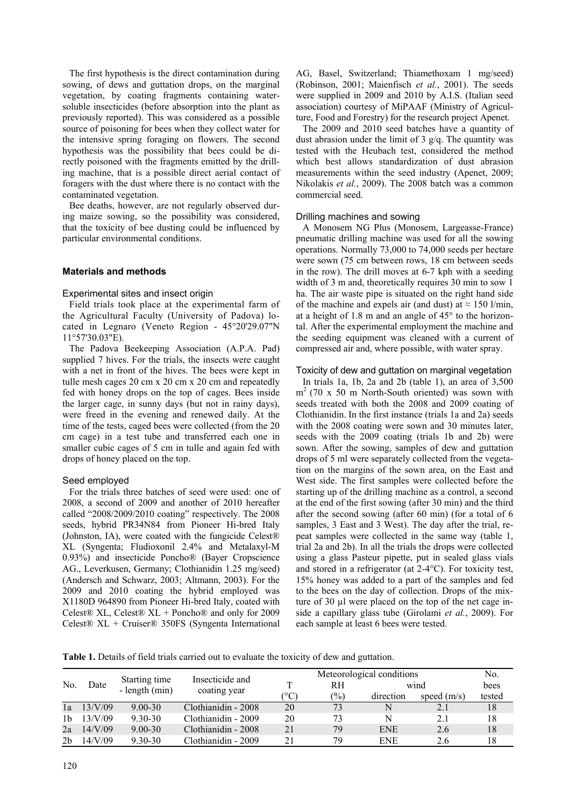The first hypothesis is the direct contamination during sowing, of dews and guttation drops, on the marginal vegetation, by coating fragments containing watersoluble insecticides (before absorption into the plant as previously reported). This was considered as a possible source of poisoning for bees when they collect water for the intensive spring foraging on flowers. The second hypothesis was the possibility that bees could be directly poisoned with the fragments emitted by the drilling machine, that is a possible direct aerial contact of foragers with the dust where there is no contact with the contaminated vegetation.

Bee deaths, however, are not regularly observed during maize sowing, so the possibility was considered, that the toxicity of bee dusting could be influenced by particular environmental conditions.

## **Materials and methods**

## Experimental sites and insect origin

Field trials took place at the experimental farm of the Agricultural Faculty (University of Padova) located in Legnaro (Veneto Region - 45°20'29.07"N 11°57'30.03"E).

The Padova Beekeeping Association (A.P.A. Pad) supplied 7 hives. For the trials, the insects were caught with a net in front of the hives. The bees were kept in tulle mesh cages 20 cm x 20 cm x 20 cm and repeatedly fed with honey drops on the top of cages. Bees inside the larger cage, in sunny days (but not in rainy days), were freed in the evening and renewed daily. At the time of the tests, caged bees were collected (from the 20 cm cage) in a test tube and transferred each one in smaller cubic cages of 5 cm in tulle and again fed with drops of honey placed on the top.

## Seed employed

For the trials three batches of seed were used: one of 2008, a second of 2009 and another of 2010 hereafter called "2008/2009/2010 coating" respectively. The 2008 seeds, hybrid PR34N84 from Pioneer Hi-bred Italy (Johnston, IA), were coated with the fungicide Celest® XL (Syngenta; Fludioxonil 2.4% and Metalaxyl-M 0.93%) and insecticide Poncho® (Bayer Cropscience AG., Leverkusen, Germany; Clothianidin 1.25 mg/seed) (Andersch and Schwarz, 2003; Altmann, 2003). For the 2009 and 2010 coating the hybrid employed was X1180D 964890 from Pioneer Hi-bred Italy, coated with Celest® XL, Celest® XL + Poncho® and only for 2009 Celest® XL + Cruiser® 350FS (Syngenta International AG, Basel, Switzerland; Thiamethoxam 1 mg/seed) (Robinson, 2001; Maienfisch *et al.*, 2001). The seeds were supplied in 2009 and 2010 by A.I.S. (Italian seed association) courtesy of MiPAAF (Ministry of Agriculture, Food and Forestry) for the research project Apenet.

The 2009 and 2010 seed batches have a quantity of dust abrasion under the limit of  $3 \frac{g}{q}$ . The quantity was tested with the Heubach test, considered the method which best allows standardization of dust abrasion measurements within the seed industry (Apenet, 2009; Nikolakis *et al.*, 2009). The 2008 batch was a common commercial seed.

#### Drilling machines and sowing

A Monosem NG Plus (Monosem, Largeasse-France) pneumatic drilling machine was used for all the sowing operations. Normally 73,000 to 74,000 seeds per hectare were sown (75 cm between rows, 18 cm between seeds in the row). The drill moves at 6-7 kph with a seeding width of 3 m and, theoretically requires 30 min to sow 1 ha. The air waste pipe is situated on the right hand side of the machine and expels air (and dust) at  $\approx 150$  l/min, at a height of 1.8 m and an angle of 45° to the horizontal. After the experimental employment the machine and the seeding equipment was cleaned with a current of compressed air and, where possible, with water spray.

#### Toxicity of dew and guttation on marginal vegetation

In trials 1a, 1b, 2a and 2b (table 1), an area of 3,500  $m<sup>2</sup>$  (70 x 50 m North-South oriented) was sown with seeds treated with both the 2008 and 2009 coating of Clothianidin. In the first instance (trials 1a and 2a) seeds with the 2008 coating were sown and 30 minutes later, seeds with the 2009 coating (trials 1b and 2b) were sown. After the sowing, samples of dew and guttation drops of 5 ml were separately collected from the vegetation on the margins of the sown area, on the East and West side. The first samples were collected before the starting up of the drilling machine as a control, a second at the end of the first sowing (after 30 min) and the third after the second sowing (after 60 min) (for a total of 6 samples, 3 East and 3 West). The day after the trial, repeat samples were collected in the same way (table 1, trial 2a and 2b). In all the trials the drops were collected using a glass Pasteur pipette, put in sealed glass vials and stored in a refrigerator (at 2-4°C). For toxicity test, 15% honey was added to a part of the samples and fed to the bees on the day of collection. Drops of the mixture of 30 µl were placed on the top of the net cage inside a capillary glass tube (Girolami *et al.*, 2009). For each sample at least 6 bees were tested.

**Table 1.** Details of field trials carried out to evaluate the toxicity of dew and guttation.

|     |         |                                 | Insecticide and     |                    |               | Meteorological conditions |                                                                                                |      |
|-----|---------|---------------------------------|---------------------|--------------------|---------------|---------------------------|------------------------------------------------------------------------------------------------|------|
| No. | Date    | Starting time<br>- length (min) | coating year        |                    | RН            |                           |                                                                                                | bees |
|     |         |                                 |                     | $^\circ\mathrm{C}$ | $\frac{1}{2}$ | direction                 | No.<br>wind<br>tested<br>speed $(m/s)$<br>18<br>N<br>N<br>2.1<br>18<br><b>ENE</b><br>18<br>2.6 |      |
| 1a  | 13/V/09 | $9.00 - 30$                     | Clothianidin - 2008 | 20                 | 73            |                           |                                                                                                |      |
| 1b  | 13/V/09 | $9.30 - 30$                     | Clothianidin - 2009 | 20                 | 73            |                           |                                                                                                |      |
| 2a  | 14/V/09 | $9.00 - 30$                     | Clothianidin - 2008 | 21                 | 79            |                           |                                                                                                |      |
| 2b  | 14/V/09 | $9.30 - 30$                     | Clothianidin - 2009 | 21                 | 79            | <b>ENE</b>                | 2.6                                                                                            | 18   |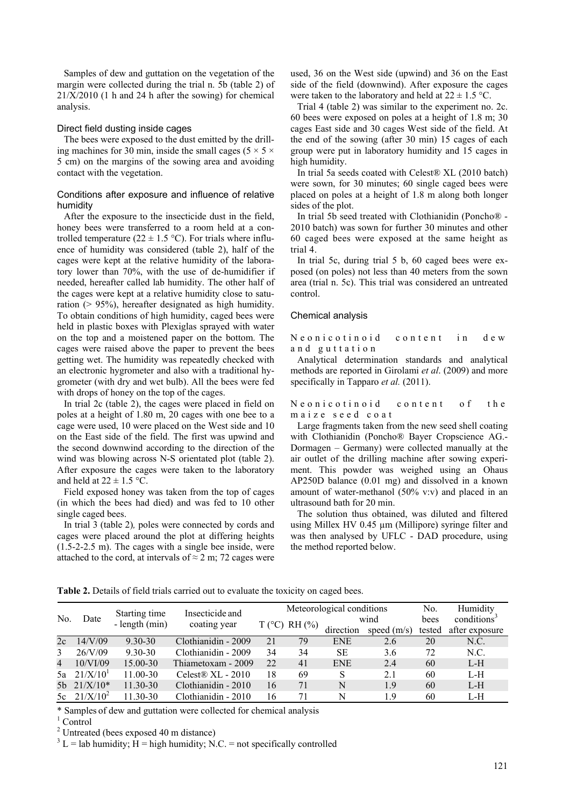Samples of dew and guttation on the vegetation of the margin were collected during the trial n. 5b (table 2) of  $21/X/2010$  (1 h and 24 h after the sowing) for chemical analysis.

#### Direct field dusting inside cages

The bees were exposed to the dust emitted by the drilling machines for 30 min, inside the small cages ( $5 \times 5 \times$ 5 cm) on the margins of the sowing area and avoiding contact with the vegetation.

## Conditions after exposure and influence of relative humidity

After the exposure to the insecticide dust in the field, honey bees were transferred to a room held at a controlled temperature (22  $\pm$  1.5 °C). For trials where influence of humidity was considered (table 2), half of the cages were kept at the relative humidity of the laboratory lower than 70%, with the use of de-humidifier if needed, hereafter called lab humidity. The other half of the cages were kept at a relative humidity close to saturation (> 95%), hereafter designated as high humidity. To obtain conditions of high humidity, caged bees were held in plastic boxes with Plexiglas sprayed with water on the top and a moistened paper on the bottom. The cages were raised above the paper to prevent the bees getting wet. The humidity was repeatedly checked with an electronic hygrometer and also with a traditional hygrometer (with dry and wet bulb). All the bees were fed with drops of honey on the top of the cages.

In trial 2c (table 2), the cages were placed in field on poles at a height of 1.80 m, 20 cages with one bee to a cage were used, 10 were placed on the West side and 10 on the East side of the field. The first was upwind and the second downwind according to the direction of the wind was blowing across N-S orientated plot (table 2). After exposure the cages were taken to the laboratory and held at  $22 \pm 1.5$  °C.

Field exposed honey was taken from the top of cages (in which the bees had died) and was fed to 10 other single caged bees.

In trial 3 (table 2)*,* poles were connected by cords and cages were placed around the plot at differing heights (1.5-2-2.5 m). The cages with a single bee inside, were attached to the cord, at intervals of  $\approx$  2 m; 72 cages were

used, 36 on the West side (upwind) and 36 on the East side of the field (downwind). After exposure the cages were taken to the laboratory and held at  $22 \pm 1.5$  °C.

Trial 4 (table 2) was similar to the experiment no. 2c. 60 bees were exposed on poles at a height of 1.8 m; 30 cages East side and 30 cages West side of the field. At the end of the sowing (after 30 min) 15 cages of each group were put in laboratory humidity and 15 cages in high humidity.

In trial 5a seeds coated with Celest® XL (2010 batch) were sown, for 30 minutes; 60 single caged bees were placed on poles at a height of 1.8 m along both longer sides of the plot.

In trial 5b seed treated with Clothianidin (Poncho® - 2010 batch) was sown for further 30 minutes and other 60 caged bees were exposed at the same height as trial 4.

In trial 5c, during trial 5 b, 60 caged bees were exposed (on poles) not less than 40 meters from the sown area (trial n. 5c). This trial was considered an untreated control.

#### Chemical analysis

Neonicotinoid content in dew and guttation

Analytical determination standards and analytical methods are reported in Girolami *et al*. (2009) and more specifically in Tapparo *et al.* (2011).

## Neonicotinoid content of the maize seed coat

Large fragments taken from the new seed shell coating with Clothianidin (Poncho® Bayer Cropscience AG.- Dormagen – Germany) were collected manually at the air outlet of the drilling machine after sowing experiment. This powder was weighed using an Ohaus AP250D balance (0.01 mg) and dissolved in a known amount of water-methanol (50% v:v) and placed in an ultrasound bath for 20 min.

The solution thus obtained, was diluted and filtered using Millex HV 0.45 µm (Millipore) syringe filter and was then analysed by UFLC - DAD procedure, using the method reported below.

**Table 2.** Details of field trials carried out to evaluate the toxicity on caged bees.

| No.           |                | Starting time | Insecticide and<br>- length $(min)$<br>coating year | Meteorological conditions |                 |            |               | No.    | Humidity                |
|---------------|----------------|---------------|-----------------------------------------------------|---------------------------|-----------------|------------|---------------|--------|-------------------------|
|               | Date           |               |                                                     |                           | $T$ (°C) RH (%) |            | wind          |        | conditions <sup>3</sup> |
|               |                |               |                                                     |                           |                 | direction  | speed $(m/s)$ | tested | after exposure          |
| 2c            | 14/V/09        | 9.30-30       | Clothianidin - 2009                                 | 21                        | 79              | <b>ENE</b> | 2.6           | 20     | N.C.                    |
| $\mathcal{E}$ | 26/V/09        | 9.30-30       | Clothianidin - 2009                                 | 34                        | 34              | SE         | 3.6           | 72     | N.C.                    |
| 4             | 10/VI/09       | 15.00-30      | Thiametoxam - 2009                                  | 22                        | 41              | <b>ENE</b> | 2.4           | 60     | L-H                     |
|               | 5a $21/X/10^1$ | 11.00-30      | Celest <sub>®</sub> $XL - 2010$                     | 18                        | 69              |            | 2.1           | 60     | $L-H$                   |
|               | 5b 21/X/10*    | 11.30-30      | Clothianidin - 2010                                 | 16                        | 71              | N          | 1.9           | 60     | $L-H$                   |
|               | 5c $21/X/10^2$ | 11.30-30      | Clothianidin - 2010                                 | 16                        |                 | N          | 19            | 60     | L-H                     |

\* Samples of dew and guttation were collected for chemical analysis 1

 $^{\rm 1}$  Control

<sup>2</sup> Untreated (bees exposed 40 m distance)<br> $3 \text{ J} = \text{lab}\text{bm}$  hymidity: H = high hymidity: N

 $^3$  L = lab humidity; H = high humidity; N.C. = not specifically controlled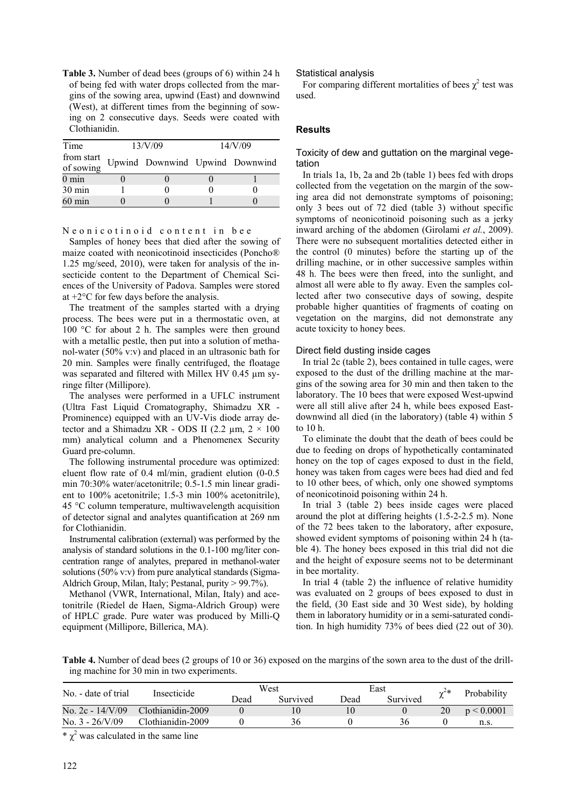**Table 3.** Number of dead bees (groups of 6) within 24 h of being fed with water drops collected from the margins of the sowing area, upwind (East) and downwind (West), at different times from the beginning of sowing on 2 consecutive days. Seeds were coated with Clothianidin.

| Time                    | 13/V/09                         | 14/V/09 |  |  |
|-------------------------|---------------------------------|---------|--|--|
| from start<br>of sowing | Upwind Downwind Upwind Downwind |         |  |  |
| $0 \text{ min}$         |                                 |         |  |  |
| 30 min                  |                                 |         |  |  |
| $60 \text{ min}$        |                                 |         |  |  |

#### Neonicotinoid content in bee

Samples of honey bees that died after the sowing of maize coated with neonicotinoid insecticides (Poncho® 1.25 mg/seed, 2010), were taken for analysis of the insecticide content to the Department of Chemical Sciences of the University of Padova. Samples were stored at +2°C for few days before the analysis.

The treatment of the samples started with a drying process. The bees were put in a thermostatic oven, at 100 °C for about 2 h. The samples were then ground with a metallic pestle, then put into a solution of methanol-water (50% v:v) and placed in an ultrasonic bath for 20 min. Samples were finally centrifuged, the floatage was separated and filtered with Millex HV 0.45 µm syringe filter (Millipore).

The analyses were performed in a UFLC instrument (Ultra Fast Liquid Cromatography, Shimadzu XR - Prominence) equipped with an UV-Vis diode array detector and a Shimadzu XR - ODS II (2.2  $\mu$ m, 2  $\times$  100 mm) analytical column and a Phenomenex Security Guard pre-column.

The following instrumental procedure was optimized: eluent flow rate of 0.4 ml/min, gradient elution (0-0.5 min 70:30% water/acetonitrile; 0.5-1.5 min linear gradient to 100% acetonitrile; 1.5-3 min 100% acetonitrile), 45 °C column temperature, multiwavelength acquisition of detector signal and analytes quantification at 269 nm for Clothianidin.

Instrumental calibration (external) was performed by the analysis of standard solutions in the 0.1-100 mg/liter concentration range of analytes, prepared in methanol-water solutions (50% v:v) from pure analytical standards (Sigma-Aldrich Group, Milan, Italy; Pestanal, purity > 99.7%).

Methanol (VWR, International, Milan, Italy) and acetonitrile (Riedel de Haen, Sigma-Aldrich Group) were of HPLC grade. Pure water was produced by Milli-Q equipment (Millipore, Billerica, MA).

## Statistical analysis

For comparing different mortalities of bees  $\chi^2$  test was used.

## **Results**

## Toxicity of dew and guttation on the marginal vegetation

In trials 1a, 1b, 2a and 2b (table 1) bees fed with drops collected from the vegetation on the margin of the sowing area did not demonstrate symptoms of poisoning; only 3 bees out of 72 died (table 3) without specific symptoms of neonicotinoid poisoning such as a jerky inward arching of the abdomen (Girolami *et al.*, 2009). There were no subsequent mortalities detected either in the control (0 minutes) before the starting up of the drilling machine, or in other successive samples within 48 h. The bees were then freed, into the sunlight, and almost all were able to fly away. Even the samples collected after two consecutive days of sowing, despite probable higher quantities of fragments of coating on vegetation on the margins, did not demonstrate any acute toxicity to honey bees.

#### Direct field dusting inside cages

In trial 2c (table 2), bees contained in tulle cages, were exposed to the dust of the drilling machine at the margins of the sowing area for 30 min and then taken to the laboratory. The 10 bees that were exposed West-upwind were all still alive after 24 h, while bees exposed Eastdownwind all died (in the laboratory) (table 4) within 5 to 10 h.

To eliminate the doubt that the death of bees could be due to feeding on drops of hypothetically contaminated honey on the top of cages exposed to dust in the field, honey was taken from cages were bees had died and fed to 10 other bees, of which, only one showed symptoms of neonicotinoid poisoning within 24 h.

In trial 3 (table 2) bees inside cages were placed around the plot at differing heights (1.5-2-2.5 m). None of the 72 bees taken to the laboratory, after exposure, showed evident symptoms of poisoning within 24 h (table 4). The honey bees exposed in this trial did not die and the height of exposure seems not to be determinant in bee mortality.

In trial 4 (table 2) the influence of relative humidity was evaluated on 2 groups of bees exposed to dust in the field, (30 East side and 30 West side), by holding them in laboratory humidity or in a semi-saturated condition. In high humidity 73% of bees died (22 out of 30).

**Table 4.** Number of dead bees (2 groups of 10 or 36) exposed on the margins of the sown area to the dust of the drilling machine for 30 min in two experiments.

| No. - date of trial       | Insecticide       | West |          | East |          | ~~* | Probability |
|---------------------------|-------------------|------|----------|------|----------|-----|-------------|
|                           |                   | Dead | Survived | Dead | Survived |     |             |
| No. $2c - 14/V/09$        | Clothianidin-2009 |      |          | 0    |          | 20  | p < 0.0001  |
| No. $3 - \frac{26}{V/09}$ | Clothianidin-2009 |      | 36       |      | 36       |     | n.s.        |

\*  $\chi^2$  was calculated in the same line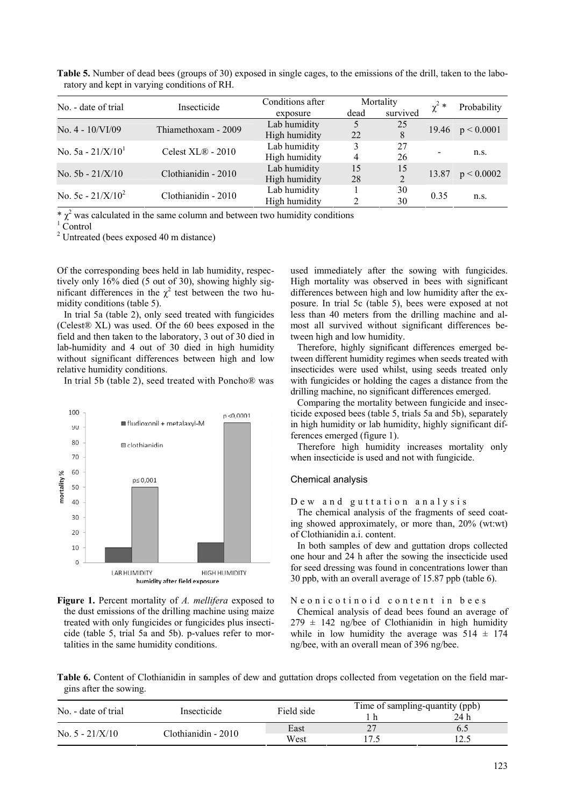| No. - date of trial  | Insecticide         | Conditions after |      | Mortality      |            | Probability |
|----------------------|---------------------|------------------|------|----------------|------------|-------------|
|                      |                     | exposure         | dead | survived       | $\chi^2$ * |             |
| No. $4 - 10/VI/09$   | Thiamethoxam - 2009 | Lab humidity     | 5    | 25             | 19.46      | p < 0.0001  |
|                      |                     | High humidity    | 22   | 8              |            |             |
| No. $5a - 21/X/101$  | Celest XL® - 2010   | Lab humidity     | 3    | 27             |            | n.s.        |
|                      |                     | High humidity    | 4    | 26             |            |             |
|                      |                     | Lab humidity     | 15   | 15             |            |             |
| No. $5b - 21/X/10$   | Clothianidin - 2010 | High humidity    | 28   | $\overline{2}$ | 13.87      | p < 0.0002  |
| No. 5c - $21/X/10^2$ |                     | Lab humidity     |      | 30             |            | n.S.        |
|                      | Clothianidin - 2010 | High humidity    |      | 30             | 0.35       |             |

**Table 5.** Number of dead bees (groups of 30) exposed in single cages, to the emissions of the drill, taken to the laboratory and kept in varying conditions of RH.

\*  $\chi^2$  was calculated in the same column and between two humidity conditions  $\frac{1}{2}$  Control

 $\log$ <sup>1</sup> Control

<sup>2</sup> Untreated (bees exposed 40 m distance)

Of the corresponding bees held in lab humidity, respectively only 16% died (5 out of 30), showing highly significant differences in the  $\chi^2$  test between the two humidity conditions (table 5).

In trial 5a (table 2), only seed treated with fungicides (Celest® XL) was used. Of the 60 bees exposed in the field and then taken to the laboratory, 3 out of 30 died in lab-humidity and 4 out of 30 died in high humidity without significant differences between high and low relative humidity conditions.

In trial 5b (table 2), seed treated with Poncho® was





used immediately after the sowing with fungicides. High mortality was observed in bees with significant differences between high and low humidity after the exposure. In trial 5c (table 5), bees were exposed at not less than 40 meters from the drilling machine and almost all survived without significant differences between high and low humidity.

Therefore, highly significant differences emerged between different humidity regimes when seeds treated with insecticides were used whilst, using seeds treated only with fungicides or holding the cages a distance from the drilling machine, no significant differences emerged.

Comparing the mortality between fungicide and insecticide exposed bees (table 5, trials 5a and 5b), separately in high humidity or lab humidity, highly significant differences emerged (figure 1).

Therefore high humidity increases mortality only when insecticide is used and not with fungicide.

#### Chemical analysis

Dew and guttation analysis

The chemical analysis of the fragments of seed coating showed approximately, or more than, 20% (wt:wt) of Clothianidin a.i. content.

In both samples of dew and guttation drops collected one hour and 24 h after the sowing the insecticide used for seed dressing was found in concentrations lower than 30 ppb, with an overall average of 15.87 ppb (table 6).

#### Neonicotinoid content in bees

Chemical analysis of dead bees found an average of  $279 \pm 142$  ng/bee of Clothianidin in high humidity while in low humidity the average was  $514 \pm 174$ ng/bee, with an overall mean of 396 ng/bee.

**Table 6.** Content of Clothianidin in samples of dew and guttation drops collected from vegetation on the field margins after the sowing.

| No. - date of trial | Insecticide         | Field side |    | Time of sampling-quantity (ppb) |  |
|---------------------|---------------------|------------|----|---------------------------------|--|
|                     |                     |            |    | 24 h                            |  |
| No. $5 - 21/X/10$   | Clothianidin - 2010 | East       | つつ |                                 |  |
|                     |                     | West       |    |                                 |  |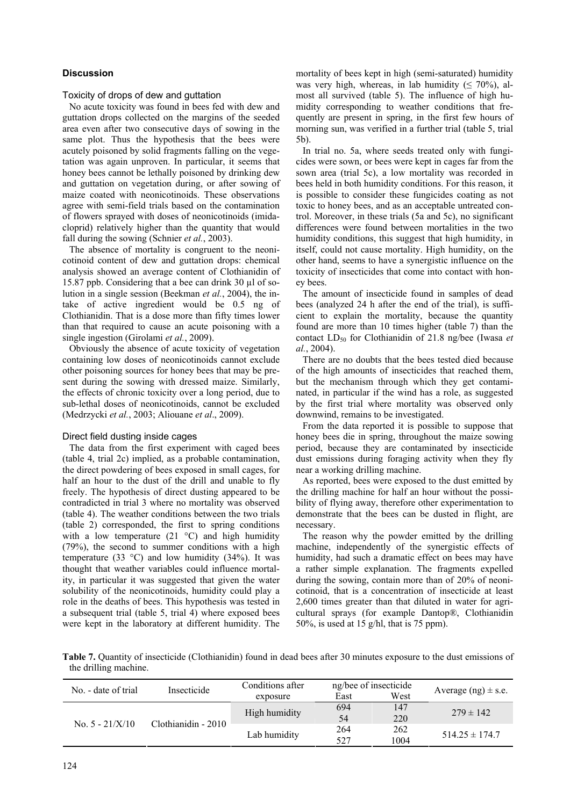## **Discussion**

Toxicity of drops of dew and guttation

No acute toxicity was found in bees fed with dew and guttation drops collected on the margins of the seeded area even after two consecutive days of sowing in the same plot. Thus the hypothesis that the bees were acutely poisoned by solid fragments falling on the vegetation was again unproven. In particular, it seems that honey bees cannot be lethally poisoned by drinking dew and guttation on vegetation during, or after sowing of maize coated with neonicotinoids. These observations agree with semi-field trials based on the contamination of flowers sprayed with doses of neonicotinoids (imidacloprid) relatively higher than the quantity that would fall during the sowing (Schnier *et al.*, 2003).

The absence of mortality is congruent to the neonicotinoid content of dew and guttation drops: chemical analysis showed an average content of Clothianidin of 15.87 ppb. Considering that a bee can drink 30 µl of solution in a single session (Beekman *et al.*, 2004), the intake of active ingredient would be 0.5 ng of Clothianidin. That is a dose more than fifty times lower than that required to cause an acute poisoning with a single ingestion (Girolami *et al.*, 2009).

Obviously the absence of acute toxicity of vegetation containing low doses of neonicotinoids cannot exclude other poisoning sources for honey bees that may be present during the sowing with dressed maize. Similarly, the effects of chronic toxicity over a long period, due to sub-lethal doses of neonicotinoids, cannot be excluded (Medrzycki *et al.*, 2003; Aliouane *et al*., 2009).

## Direct field dusting inside cages

The data from the first experiment with caged bees (table 4, trial 2c) implied, as a probable contamination, the direct powdering of bees exposed in small cages, for half an hour to the dust of the drill and unable to fly freely. The hypothesis of direct dusting appeared to be contradicted in trial 3 where no mortality was observed (table 4). The weather conditions between the two trials (table 2) corresponded, the first to spring conditions with a low temperature (21 °C) and high humidity (79%), the second to summer conditions with a high temperature (33  $^{\circ}$ C) and low humidity (34%). It was thought that weather variables could influence mortality, in particular it was suggested that given the water solubility of the neonicotinoids, humidity could play a role in the deaths of bees. This hypothesis was tested in a subsequent trial (table 5, trial 4) where exposed bees were kept in the laboratory at different humidity. The mortality of bees kept in high (semi-saturated) humidity was very high, whereas, in lab humidity ( $\leq 70\%$ ), almost all survived (table 5). The influence of high humidity corresponding to weather conditions that frequently are present in spring, in the first few hours of morning sun, was verified in a further trial (table 5, trial 5b).

In trial no. 5a, where seeds treated only with fungicides were sown, or bees were kept in cages far from the sown area (trial 5c), a low mortality was recorded in bees held in both humidity conditions. For this reason, it is possible to consider these fungicides coating as not toxic to honey bees, and as an acceptable untreated control. Moreover, in these trials (5a and 5c), no significant differences were found between mortalities in the two humidity conditions, this suggest that high humidity, in itself, could not cause mortality. High humidity, on the other hand, seems to have a synergistic influence on the toxicity of insecticides that come into contact with honey bees.

The amount of insecticide found in samples of dead bees (analyzed 24 h after the end of the trial), is sufficient to explain the mortality, because the quantity found are more than 10 times higher (table 7) than the contact LD<sub>50</sub> for Clothianidin of 21.8 ng/bee (Iwasa *et al.*, 2004).

There are no doubts that the bees tested died because of the high amounts of insecticides that reached them, but the mechanism through which they get contaminated, in particular if the wind has a role, as suggested by the first trial where mortality was observed only downwind, remains to be investigated.

From the data reported it is possible to suppose that honey bees die in spring, throughout the maize sowing period, because they are contaminated by insecticide dust emissions during foraging activity when they fly near a working drilling machine.

As reported, bees were exposed to the dust emitted by the drilling machine for half an hour without the possibility of flying away, therefore other experimentation to demonstrate that the bees can be dusted in flight, are necessary.

The reason why the powder emitted by the drilling machine, independently of the synergistic effects of humidity, had such a dramatic effect on bees may have a rather simple explanation. The fragments expelled during the sowing, contain more than of 20% of neonicotinoid, that is a concentration of insecticide at least 2,600 times greater than that diluted in water for agricultural sprays (for example Dantop®, Clothianidin 50%, is used at 15 g/hl, that is 75 ppm).

**Table 7.** Quantity of insecticide (Clothianidin) found in dead bees after 30 minutes exposure to the dust emissions of the drilling machine.

| No. - date of trial | Insecticide         | Conditions after<br>East<br>exposure |            | ng/bee of insecticide<br>West | Average $(ng) \pm s.e.$ |
|---------------------|---------------------|--------------------------------------|------------|-------------------------------|-------------------------|
| No. $5 - 21/X/10$   | Clothianidin - 2010 | High humidity                        | 694<br>54  | 147<br>220                    | $279 \pm 142$           |
|                     |                     | Lab humidity                         | 264<br>527 | 262<br>1004                   | $514.25 \pm 174.7$      |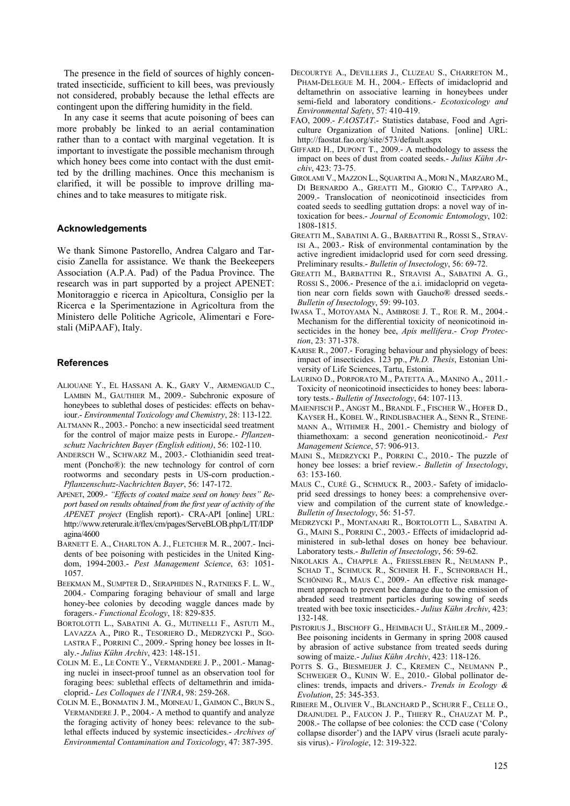The presence in the field of sources of highly concentrated insecticide, sufficient to kill bees, was previously not considered, probably because the lethal effects are contingent upon the differing humidity in the field.

In any case it seems that acute poisoning of bees can more probably be linked to an aerial contamination rather than to a contact with marginal vegetation. It is important to investigate the possible mechanism through which honey bees come into contact with the dust emitted by the drilling machines. Once this mechanism is clarified, it will be possible to improve drilling machines and to take measures to mitigate risk.

#### **Acknowledgements**

We thank Simone Pastorello, Andrea Calgaro and Tarcisio Zanella for assistance. We thank the Beekeepers Association (A.P.A. Pad) of the Padua Province. The research was in part supported by a project APENET: Monitoraggio e ricerca in Apicoltura, Consiglio per la Ricerca e la Sperimentazione in Agricoltura from the Ministero delle Politiche Agricole, Alimentari e Forestali (MiPAAF), Italy.

#### **References**

- ALIOUANE Y., EL HASSANI A. K., GARY V., ARMENGAUD C., LAMBIN M., GAUTHIER M., 2009.- Subchronic exposure of honeybees to sublethal doses of pesticides: effects on behaviour.- *Environmental Toxicology and Chemistry*, 28: 113-122.
- ALTMANN R., 2003.- Poncho: a new insecticidal seed treatment for the control of major maize pests in Europe.- *Pflanzenschutz Nachrichten Bayer (English edition)*, 56: 102-110.
- ANDERSCH W., SCHWARZ M., 2003.- Clothianidin seed treatment (Poncho®): the new technology for control of corn rootworms and secondary pests in US-corn production.- *Pflanzenschutz-Nachrichten Bayer*, 56: 147-172.
- APENET, 2009.- *"Effects of coated maize seed on honey bees" Report based on results obtained from the first year of activity of the APENET project* (English report).- CRA-API [online] URL: http://www.reterurale.it/flex/cm/pages/ServeBLOB.php/L/IT/IDP agina/4600
- BARNETT E. A., CHARLTON A. J., FLETCHER M. R., 2007.- Incidents of bee poisoning with pesticides in the United Kingdom, 1994-2003.- *Pest Management Science*, 63: 1051- 1057.
- BEEKMAN M., SUMPTER D., SERAPHIDES N., RATNIEKS F. L. W., 2004.- Comparing foraging behaviour of small and large honey-bee colonies by decoding waggle dances made by foragers.- *Functional Ecology*, 18: 829-835.
- BORTOLOTTI L., SABATINI A. G., MUTINELLI F., ASTUTI M., LAVAZZA A., PIRO R., TESORIERO D., MEDRZYCKI P., SGO-LASTRA F., PORRINI C., 2009.- Spring honey bee losses in Italy.- *Julius Kühn Archiv*, 423: 148-151.
- COLIN M. E., LE CONTE Y., VERMANDERE J. P., 2001.- Managing nuclei in insect-proof tunnel as an observation tool for foraging bees: sublethal effects of deltamethrin and imidacloprid.- *Les Colloques de l'INRA*, 98: 259-268.
- COLIN M. E., BONMATIN J. M., MOINEAU I., GAIMON C., BRUN S., VERMANDERE J. P., 2004.- A method to quantify and analyze the foraging activity of honey bees: relevance to the sublethal effects induced by systemic insecticides.- *Archives of Environmental Contamination and Toxicology*, 47: 387-395.
- DECOURTYE A., DEVILLERS J., CLUZEAU S., CHARRETON M., PHAM-DELEGUE M. H., 2004.- Effects of imidacloprid and deltamethrin on associative learning in honeybees under semi-field and laboratory conditions.- *Ecotoxicology and Environmental Safety*, 57: 410-419.
- FAO, 2009.- *FAOSTAT*.- Statistics database, Food and Agriculture Organization of United Nations. [online] URL: http://faostat.fao.org/site/573/default.aspx
- GIFFARD H., DUPONT T., 2009.- A methodology to assess the impact on bees of dust from coated seeds.- *Julius Kühn Archiv*, 423: 73-75.
- GIROLAMI V., MAZZON L., SQUARTINI A., MORI N., MARZARO M., DI BERNARDO A., GREATTI M., GIORIO C., TAPPARO A., 2009.- Translocation of neonicotinoid insecticides from coated seeds to seedling guttation drops: a novel way of intoxication for bees.- *Journal of Economic Entomology*, 102: 1808-1815.
- GREATTI M., SABATINI A. G., BARBATTINI R., ROSSI S., STRAV-ISI A., 2003.- Risk of environmental contamination by the active ingredient imidacloprid used for corn seed dressing. Preliminary results.- *Bulletin of Insectology*, 56: 69-72.
- GREATTI M., BARBATTINI R., STRAVISI A., SABATINI A. G., ROSSI S., 2006.- Presence of the a.i. imidacloprid on vegetation near corn fields sown with Gaucho® dressed seeds.- *Bulletin of Insectology*, 59: 99-103.
- IWASA T., MOTOYAMA N., AMBROSE J. T., ROE R. M., 2004.- Mechanism for the differential toxicity of neonicotinoid insecticides in the honey bee, *Apis mellifera*.- *Crop Protection*, 23: 371-378.
- KARISE R., 2007.- Foraging behaviour and physiology of bees: impact of insecticides. 123 pp., *Ph.D. Thesis*, Estonian University of Life Sciences, Tartu, Estonia.
- LAURINO D., PORPORATO M., PATETTA A., MANINO A., 2011.- Toxicity of neonicotinoid insecticides to honey bees: laboratory tests.- *Bulletin of Insectology*, 64: 107-113.
- MAIENFISCH P., ANGST M., BRANDL F., FISCHER W., HOFER D., KAYSER H., KOBEL W., RINDLISBACHER A., SENN R., STEINE-MANN A., WITHMER H., 2001.- Chemistry and biology of thiamethoxam: a second generation neonicotinoid.- *Pest Management Science*, 57: 906-913.
- MAINI S., MEDRZYCKI P., PORRINI C., 2010.- The puzzle of honey bee losses: a brief review.- *Bulletin of Insectology*, 63: 153-160.
- MAUS C., CURÉ G., SCHMUCK R., 2003.- Safety of imidacloprid seed dressings to honey bees: a comprehensive overview and compilation of the current state of knowledge.- *Bulletin of Insectology*, 56: 51-57.
- MEDRZYCKI P., MONTANARI R., BORTOLOTTI L., SABATINI A. G., MAINI S., PORRINI C., 2003.- Effects of imidacloprid administered in sub-lethal doses on honey bee behaviour. Laboratory tests.- *Bulletin of Insectology*, 56: 59-62.
- NIKOLAKIS A., CHAPPLE A., FRIESSLEBEN R., NEUMANN P., SCHAD T., SCHMUCK R., SCHNIER H. F., SCHNORBACH H., SCHÖNING R., MAUS C., 2009.- An effective risk management approach to prevent bee damage due to the emission of abraded seed treatment particles during sowing of seeds treated with bee toxic insecticides.- *Julius Kühn Archiv*, 423: 132-148.
- PISTORIUS J., BISCHOFF G., HEIMBACH U., STÄHLER M., 2009.- Bee poisoning incidents in Germany in spring 2008 caused by abrasion of active substance from treated seeds during sowing of maize.- *Julius Kühn Archiv*, 423: 118-126.
- POTTS S. G., BIESMEIJER J. C., KREMEN C., NEUMANN P., SCHWEIGER O., KUNIN W. E., 2010.- Global pollinator declines: trends, impacts and drivers.- *Trends in Ecology & Evolution*, 25: 345-353.
- RIBIERE M., OLIVIER V., BLANCHARD P., SCHURR F., CELLE O., DRAJNUDEL P., FAUCON J. P., THIERY R., CHAUZAT M. P., 2008.- The collapse of bee colonies: the CCD case ('Colony collapse disorder') and the IAPV virus (Israeli acute paralysis virus).- *Virologie*, 12: 319-322.